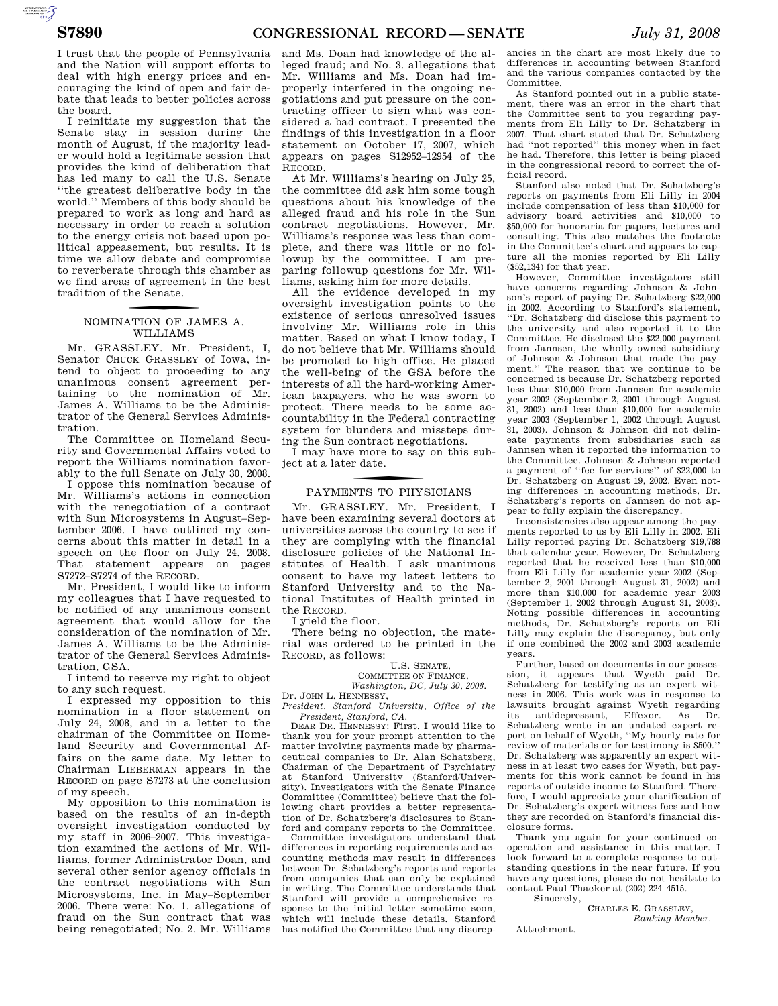AUTOROTOMICALE

I trust that the people of Pennsylvania and the Nation will support efforts to deal with high energy prices and encouraging the kind of open and fair debate that leads to better policies across the board.

I reinitiate my suggestion that the Senate stay in session during the month of August, if the majority leader would hold a legitimate session that provides the kind of deliberation that has led many to call the U.S. Senate ''the greatest deliberative body in the world.'' Members of this body should be prepared to work as long and hard as necessary in order to reach a solution to the energy crisis not based upon political appeasement, but results. It is time we allow debate and compromise to reverberate through this chamber as we find areas of agreement in the best tradition of the Senate.

## NOMINATION OF JAMES A. WILLIAMS

Mr. GRASSLEY. Mr. President, I, Senator CHUCK GRASSLEY of Iowa, intend to object to proceeding to any unanimous consent agreement pertaining to the nomination of Mr. James A. Williams to be the Administrator of the General Services Administration.

The Committee on Homeland Security and Governmental Affairs voted to report the Williams nomination favorably to the full Senate on July 30, 2008.

I oppose this nomination because of Mr. Williams's actions in connection with the renegotiation of a contract with Sun Microsystems in August–September 2006. I have outlined my concerns about this matter in detail in a speech on the floor on July 24, 2008. That statement appears on pages S7272–S7274 of the RECORD.

Mr. President, I would like to inform my colleagues that I have requested to be notified of any unanimous consent agreement that would allow for the consideration of the nomination of Mr. James A. Williams to be the Administrator of the General Services Administration, GSA.

I intend to reserve my right to object to any such request.

I expressed my opposition to this nomination in a floor statement on July 24, 2008, and in a letter to the chairman of the Committee on Homeland Security and Governmental Affairs on the same date. My letter to Chairman LIEBERMAN appears in the RECORD on page S7273 at the conclusion of my speech.

My opposition to this nomination is based on the results of an in-depth oversight investigation conducted by my staff in 2006–2007. This investigation examined the actions of Mr. Williams, former Administrator Doan, and several other senior agency officials in the contract negotiations with Sun Microsystems, Inc. in May–September 2006. There were: No. 1. allegations of fraud on the Sun contract that was being renegotiated; No. 2. Mr. Williams

and Ms. Doan had knowledge of the alleged fraud; and No. 3. allegations that Mr. Williams and Ms. Doan had improperly interfered in the ongoing negotiations and put pressure on the contracting officer to sign what was considered a bad contract. I presented the findings of this investigation in a floor statement on October 17, 2007, which appears on pages S12952–12954 of the RECORD.

At Mr. Williams's hearing on July 25, the committee did ask him some tough questions about his knowledge of the alleged fraud and his role in the Sun contract negotiations. However, Mr. Williams's response was less than complete, and there was little or no followup by the committee. I am preparing followup questions for Mr. Williams, asking him for more details.

All the evidence developed in my oversight investigation points to the existence of serious unresolved issues involving Mr. Williams role in this matter. Based on what I know today, I do not believe that Mr. Williams should be promoted to high office. He placed the well-being of the GSA before the interests of all the hard-working American taxpayers, who he was sworn to protect. There needs to be some accountability in the Federal contracting system for blunders and missteps during the Sun contract negotiations.

I may have more to say on this subject at a later date.

## f PAYMENTS TO PHYSICIANS

Mr. GRASSLEY. Mr. President, I have been examining several doctors at universities across the country to see if they are complying with the financial disclosure policies of the National Institutes of Health. I ask unanimous consent to have my latest letters to Stanford University and to the National Institutes of Health printed in the RECORD.

I yield the floor.

There being no objection, the material was ordered to be printed in the RECORD, as follows:

#### U.S. SENATE,

COMMITTEE ON FINANCE, *Washington, DC, July 30, 2008.* 

Dr. JOHN L. HENNESSY,

*President, Stanford University, Office of the President, Stanford, CA.* 

DEAR DR. HENNESSY: First, I would like to thank you for your prompt attention to the matter involving payments made by pharmaceutical companies to Dr. Alan Schatzberg, Chairman of the Department of Psychiatry at Stanford University (Stanford/University). Investigators with the Senate Finance Committee (Committee) believe that the following chart provides a better representation of Dr. Schatzberg's disclosures to Stanford and company reports to the Committee.

Committee investigators understand that differences in reporting requirements and accounting methods may result in differences between Dr. Schatzberg's reports and reports from companies that can only be explained in writing. The Committee understands that Stanford will provide a comprehensive response to the initial letter sometime soon, which will include these details. Stanford has notified the Committee that any discrep-

ancies in the chart are most likely due to differences in accounting between Stanford and the various companies contacted by the Committee.

As Stanford pointed out in a public statement, there was an error in the chart that the Committee sent to you regarding payments from Eli Lilly to Dr. Schatzberg in 2007. That chart stated that Dr. Schatzberg had ''not reported'' this money when in fact he had. Therefore, this letter is being placed in the congressional record to correct the official record.

Stanford also noted that Dr. Schatzberg's reports on payments from Eli Lilly in 2004 include compensation of less than \$10,000 for advisory board activities and \$10,000 to \$50,000 for honoraria for papers, lectures and consulting. This also matches the footnote in the Committee's chart and appears to capture all the monies reported by Eli Lilly (\$52,134) for that year.

However, Committee investigators still have concerns regarding Johnson & Johnson's report of paying Dr. Schatzberg \$22,000 in 2002. According to Stanford's statement, ''Dr. Schatzberg did disclose this payment to the university and also reported it to the Committee. He disclosed the \$22,000 payment from Jannsen, the wholly-owned subsidiary of Johnson & Johnson that made the payment.'' The reason that we continue to be concerned is because Dr. Schatzberg reported less than \$10,000 from Jannsen for academic year 2002 (September 2, 2001 through August 31, 2002) and less than \$10,000 for academic year 2003 (September 1, 2002 through August 31, 2003). Johnson & Johnson did not delineate payments from subsidiaries such as Jannsen when it reported the information to the Committee. Johnson & Johnson reported a payment of ''fee for services'' of \$22,000 to Dr. Schatzberg on August 19, 2002. Even noting differences in accounting methods, Dr. Schatzberg's reports on Jannsen do not appear to fully explain the discrepancy.

Inconsistencies also appear among the payments reported to us by Eli Lilly in 2002. Eli Lilly reported paying Dr. Schatzberg \$19,788 that calendar year. However, Dr. Schatzberg reported that he received less than \$10,000 from Eli Lilly for academic year 2002 (September 2, 2001 through August 31, 2002) and more than \$10,000 for academic year 2003 (September 1, 2002 through August 31, 2003). Noting possible differences in accounting methods, Dr. Schatzberg's reports on Eli Lilly may explain the discrepancy, but only if one combined the 2002 and 2003 academic years.

Further, based on documents in our possession, it appears that Wyeth paid Dr. Schatzberg for testifying as an expert witness in 2006. This work was in response to lawsuits brought against Wyeth regarding its antidepressant, Effexor. As Dr. Schatzberg wrote in an undated expert report on behalf of Wyeth, ''My hourly rate for review of materials or for testimony is \$500.'' Dr. Schatzberg was apparently an expert witness in at least two cases for Wyeth, but payments for this work cannot be found in his reports of outside income to Stanford. Therefore, I would appreciate your clarification of Dr. Schatzberg's expert witness fees and how they are recorded on Stanford's financial disclosure forms.

Thank you again for your continued cooperation and assistance in this matter. I look forward to a complete response to outstanding questions in the near future. If you have any questions, please do not hesitate to contact Paul Thacker at (202) 224–4515. Sincerely,

CHARLES E. GRASSLEY,

Attachment.

*Ranking Member.*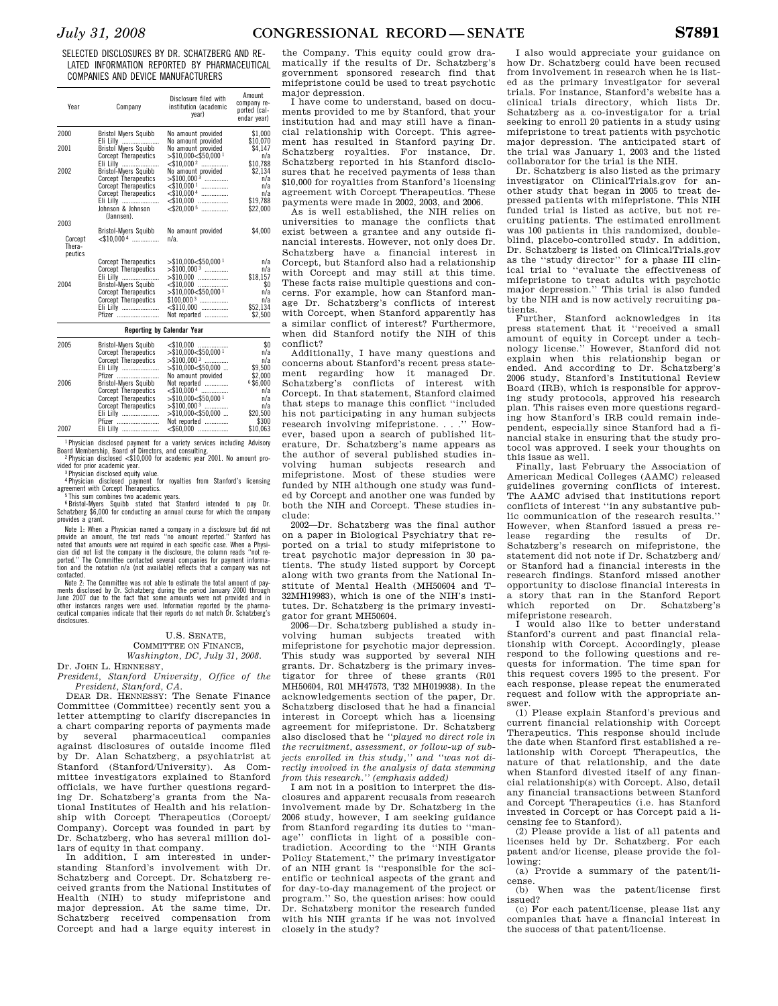SELECTED DISCLOSURES BY DR. SCHATZBERG AND RE-LATED INFORMATION REPORTED BY PHARMACEUTICAL COMPANIES AND DEVICE MANUFACTURERS

| Year                                 | Company                                                                                                                                                                              | Disclosure filed with<br>institution (academic<br>vear)                                                                                              | Amount<br>company re-<br>ported (cal-<br>endar year)               |
|--------------------------------------|--------------------------------------------------------------------------------------------------------------------------------------------------------------------------------------|------------------------------------------------------------------------------------------------------------------------------------------------------|--------------------------------------------------------------------|
| 2000                                 | <b>Bristol Myers Squibb</b>                                                                                                                                                          | No amount provided                                                                                                                                   | \$1,000                                                            |
| 2001                                 | Eli Lilly<br><b>Bristol Myers Squibb</b><br><b>Corcept Therapeutics</b><br>Eli Lilly                                                                                                 | No amount provided<br>No amount provided<br>$>\$10,000<\$50,0001$<br>$\leq$ \$10,000 <sup>2</sup>                                                    | \$10,070<br>\$4.147<br>n/a<br>\$10,788                             |
| 2002                                 | Bristol-Myers Squibb<br><b>Corcept Therapeutics</b><br><b>Corcept Therapeutics</b><br><b>Corcept Therapeutics</b><br>Eli Lilly<br>Johnson & Johnson<br>(Jannsen).                    | No amount provided<br>$>$ \$100,000 <sup>3</sup><br>$<$ \$10,000 <sup>1</sup><br>.<br>$\leq$ \$10,000 4<br>$<$ \$10,000<br>$<$ \$20,000 <sup>5</sup> | \$2,134<br>n/a<br>n/a<br>n/a<br>\$19,788<br>\$22,000               |
| 2003<br>Corcept<br>Thera-<br>peutics | Bristol-Myers Squibb<br>$<$ \$10.000 4                                                                                                                                               | No amount provided<br>$n/a$ .                                                                                                                        | \$4,000                                                            |
| 2004                                 | <b>Corcept Therapeutics</b><br><b>Corcept Therapeutics</b><br>Eli Lilly<br>Bristol-Myers Squibb<br><b>Corcept Therapeutics</b><br><b>Corcept Therapeutics</b><br>Eli Lilly<br>Pfizer | $>\$10,000<\$50,000<$<br>$> $100,0003$<br>$> $10,000$<br>$\leq$ \$10,000<br>$>\$10,000<\$50,000<$<br>$$100,0003$<br>$\le$ \$110,000<br>Not reported  | n/a<br>n/a<br>\$18,157<br>\$0<br>n/a<br>n/a<br>\$52.134<br>\$2.500 |

| <b>Reporting by Calendar Year</b> |                             |                                    |          |
|-----------------------------------|-----------------------------|------------------------------------|----------|
| 2005                              | <b>Bristol-Mvers Squibb</b> | $\leq 10.000$                      | \$0      |
|                                   | <b>Corcept Therapeutics</b> | $>$ \$10.000<\$50.000 <sup>1</sup> | n/a      |
|                                   | <b>Corcept Therapeutics</b> | $>$ \$100.000 <sup>3</sup>         | n/a      |
|                                   | Eli Lilly                   | $>$ \$10.000 < \$50.000            | \$9.500  |
|                                   | Pfizer                      | No amount provided                 | \$2,000  |
| 2006                              | <b>Bristol-Mvers Squibb</b> | Not reported                       | 6\$6,000 |
|                                   | <b>Corcept Therapeutics</b> | $\leq$ \$10.000 4                  | n/a      |
|                                   | <b>Corcept Therapeutics</b> | $>$ \$10,000<\$50,000 <sup>1</sup> | n/a      |
|                                   | <b>Corcept Therapeutics</b> | $>$ \$100.000 <sup>3</sup>         | n/a      |
|                                   | Eli Lilly                   | $>$ \$10,000<\$50,000              | \$20,500 |
|                                   | Pfizer                      | Not reported                       | \$300    |
| 2007                              | Eli Lilly                   | $<$ \$60,000                       | \$10.063 |

1 Physician disclosed payment for a variety services including Advisory Board Membership, Board of Directors, and consulting.<br>
<sup>2</sup> Physician disclosed  $\leq$ \$10,000 for academic year 2001. No amount pro-<br>
vided for prior academic year.

valued for prior academic year.<br><sup>3</sup> Physician disclosed equity value.

4 Physician disclosed payment for royalties from Stanford's licensing

agreement with Corcept Therapeutics.<br><sup>5</sup> This sum combines two academic years.<br><sup>6</sup> Bristol-Myers Squibb stated that Stanford intended to pay Dr.<br>Schatzberg \$6,000 for conducting an annual course for which the company provides a grant.

Note 1: When a Physician named a company in a disclosure but did not provide an amount, the text reads "no amount reported." Stanford has<br>noted that amounts were not required in each specific case. When a Physi-<br>cian did not list the company in the disclosure, the column reads "not re-<br>cian tion and the notation n/a (not available) reflects that a company was not

contacted. The Committee was not able to estimate the total amount of payments disclosed by Dr. Schatzberg during the period January 2000 through June 2007 due to the fact that some amounts were not provided and in other instances ranges were used. Information reported by the pharma-ceutical companies indicate that their reports do not match Dr. Schatzberg's disclosures.

### U.S. SENATE,

COMMITTEE ON FINANCE, *Washington, DC, July 31, 2008.* 

Dr. JOHN L. HENNESSY, *President, Stanford University, Office of the President, Stanford, CA.* 

DEAR DR. HENNESSY: The Senate Finance Committee (Committee) recently sent you a letter attempting to clarify discrepancies in a chart comparing reports of payments made several pharmaceutical against disclosures of outside income filed by Dr. Alan Schatzberg, a psychiatrist at Stanford (Stanford/University). As Committee investigators explained to Stanford officials, we have further questions regarding Dr. Schatzberg's grants from the National Institutes of Health and his relationship with Corcept Therapeutics (Corcept/ Company). Corcept was founded in part by Dr. Schatzberg, who has several million dollars of equity in that company.

In addition, I am interested in understanding Stanford's involvement with Dr. Schatzberg and Corcept. Dr. Schatzberg received grants from the National Institutes of Health (NIH) to study mifepristone and major depression. At the same time, Dr. Schatzberg received compensation from Corcept and had a large equity interest in

the Company. This equity could grow dramatically if the results of Dr. Schatzberg's government sponsored research find that mifepristone could be used to treat psychotic major depression.

I have come to understand, based on documents provided to me by Stanford, that your institution had and may still have a financial relationship with Corcept. This agreement has resulted in Stanford paying Dr. Schatzberg royalties. For instance, Dr. Schatzberg reported in his Stanford disclosures that he received payments of less than \$10,000 for royalties from Stanford's licensing agreement with Corcept Therapeutics. These payments were made in 2002, 2003, and 2006.

As is well established, the NIH relies on universities to manage the conflicts that exist between a grantee and any outside financial interests. However, not only does Dr. Schatzberg have a financial interest in Corcept, but Stanford also had a relationship with Corcept and may still at this time. These facts raise multiple questions and concerns. For example, how can Stanford manage Dr. Schatzberg's conflicts of interest with Corcept, when Stanford apparently has a similar conflict of interest? Furthermore, when did Stanford notify the NIH of this conflict?

Additionally, I have many questions and concerns about Stanford's recent press statement regarding how it managed Dr. Schatzberg's conflicts of interest with Corcept. In that statement, Stanford claimed that steps to manage this conflict ''included his not participating in any human subjects research involving mifepristone. . . .'' However, based upon a search of published literature, Dr. Schatzberg's name appears as the author of several published studies involving human subjects research and mifepristone. Most of these studies were funded by NIH although one study was funded by Corcept and another one was funded by both the NIH and Corcept. These studies include:

2002—Dr. Schatzberg was the final author on a paper in Biological Psychiatry that reported on a trial to study mifepristone to treat psychotic major depression in 30 patients. The study listed support by Corcept along with two grants from the National Institute of Mental Health (MH50604 and T– 32MH19983), which is one of the NIH's institutes. Dr. Schatzberg is the primary investigator for grant MH50604.

2006—Dr. Schatzberg published a study involving human subjects treated with mifepristone for psychotic major depression. This study was supported by several NIH grants. Dr. Schatzberg is the primary investigator for three of these grants (R01 MH50604, R01 MH47573, T32 MH019938). In the acknowledgements section of the paper, Dr. Schatzberg disclosed that he had a financial interest in Corcept which has a licensing agreement for mifepristone. Dr. Schatzberg also disclosed that he *''played no direct role in the recruitment, assessment, or follow-up of subjects enrolled in this study,'' and ''was not directly involved in the analysis of data stemming from this research.'' (emphasis added)* 

I am not in a position to interpret the disclosures and apparent recusals from research involvement made by Dr. Schatzberg in the 2006 study, however, I am seeking guidance from Stanford regarding its duties to ''manage'' conflicts in light of a possible contradiction. According to the ''NIH Grants Policy Statement,'' the primary investigator of an NIH grant is ''responsible for the scientific or technical aspects of the grant and for day-to-day management of the project or program.'' So, the question arises: how could Dr. Schatzberg monitor the research funded with his NIH grants if he was not involved closely in the study?

I also would appreciate your guidance on how Dr. Schatzberg could have been recused from involvement in research when he is listed as the primary investigator for several trials. For instance, Stanford's website has a clinical trials directory, which lists Dr. Schatzberg as a co-investigator for a trial seeking to enroll 20 patients in a study using mifepristone to treat patients with psychotic major depression. The anticipated start of the trial was January 1, 2003 and the listed collaborator for the trial is the NIH.

Dr. Schatzberg is also listed as the primary investigator on ClinicalTrials.gov for another study that began in 2005 to treat depressed patients with mifepristone. This NIH funded trial is listed as active, but not recruiting patients. The estimated enrollment was 100 patients in this randomized, doubleblind, placebo-controlled study. In addition, Dr. Schatzberg is listed on ClinicalTrials.gov as the ''study director'' for a phase III clinical trial to ''evaluate the effectiveness of mifepristone to treat adults with psychotic major depression.'' This trial is also funded by the NIH and is now actively recruiting patients.<br>Further

Stanford acknowledges in its press statement that it ''received a small amount of equity in Corcept under a technology license.'' However, Stanford did not explain when this relationship began or ended. And according to Dr. Schatzberg's 2006 study, Stanford's Institutional Review Board (IRB), which is responsible for approving study protocols, approved his research plan. This raises even more questions regarding how Stanford's IRB could remain independent, especially since Stanford had a financial stake in ensuring that the study protocol was approved. I seek your thoughts on this issue as well.

Finally, last February the Association of American Medical Colleges (AAMC) released guidelines governing conflicts of interest. The AAMC advised that institutions report conflicts of interest ''in any substantive public communication of the research results.'' However, when Stanford issued a press reregarding the results Schatzberg's research on mifepristone, the statement did not note if Dr. Schatzberg and/ or Stanford had a financial interests in the research findings. Stanford missed another opportunity to disclose financial interests in a story that ran in the Stanford Report which reported on Dr. mifepristone research.

I would also like to better understand Stanford's current and past financial relationship with Corcept. Accordingly, please respond to the following questions and re-quests for information. The time span for this request covers 1995 to the present. For each response, please repeat the enumerated request and follow with the appropriate answer.

(1) Please explain Stanford's previous and current financial relationship with Corcept Therapeutics. This response should include the date when Stanford first established a relationship with Corcept Therapeutics, the nature of that relationship, and the date when Stanford divested itself of any financial relationship(s) with Corcept. Also, detail any financial transactions between Stanford and Corcept Therapeutics (i.e. has Stanford invested in Corcept or has Corcept paid a licensing fee to Stanford).

(2) Please provide a list of all patents and licenses held by Dr. Schatzberg. For each patent and/or license, please provide the following:

(a) Provide a summary of the patent/license.

(b) When was the patent/license first issued?

(c) For each patent/license, please list any companies that have a financial interest in the success of that patent/license.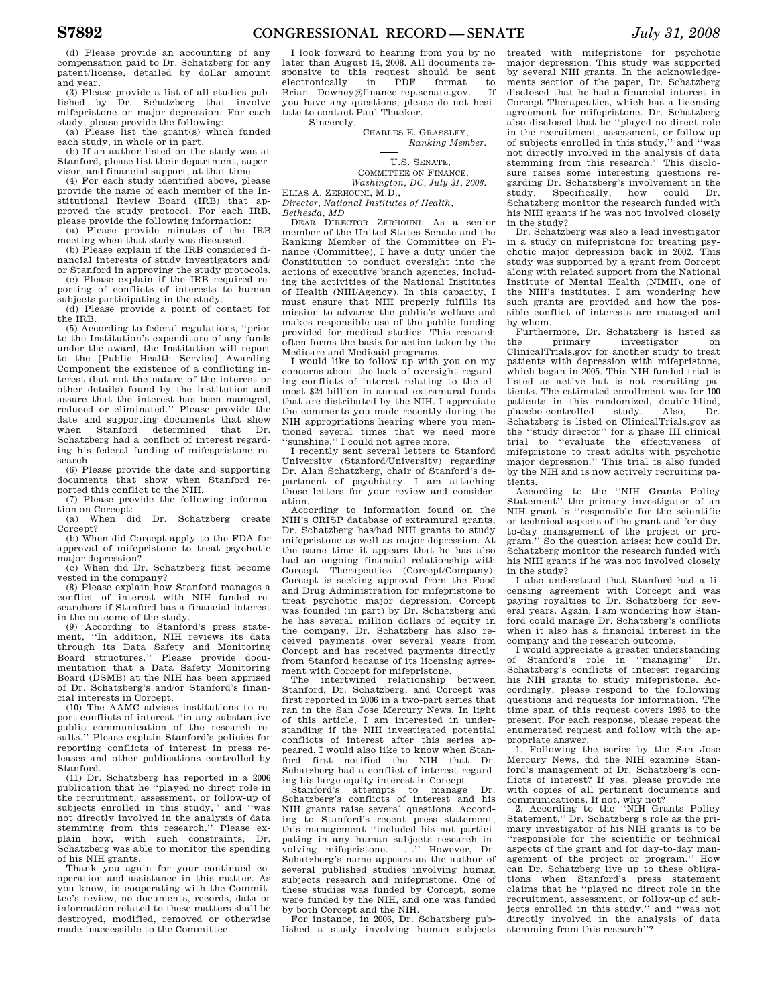(d) Please provide an accounting of any compensation paid to Dr. Schatzberg for any patent/license, detailed by dollar amount and year.

(3) Please provide a list of all studies published by Dr. Schatzberg that involve mifepristone or major depression. For each study, please provide the following:

(a) Please list the grant(s) which funded each study, in whole or in part.

(b) If an author listed on the study was at Stanford, please list their department, supervisor, and financial support, at that time.

(4) For each study identified above, please provide the name of each member of the Institutional Review Board (IRB) that approved the study protocol. For each IRB, please provide the following information: (a) Please provide minutes of the IRB

meeting when that study was discussed. (b) Please explain if the IRB considered fi-

nancial interests of study investigators and/ or Stanford in approving the study protocols. (c) Please explain if the IRB required re-

porting of conflicts of interests to human subjects participating in the study. (d) Please provide a point of contact for

the IRB.

(5) According to federal regulations, ''prior to the Institution's expenditure of any funds under the award, the Institution will report to the [Public Health Service] Awarding Component the existence of a conflicting interest (but not the nature of the interest or other details) found by the institution and assure that the interest has been managed, reduced or eliminated.'' Please provide the date and supporting documents that show when Stanford determined that Dr. Schatzberg had a conflict of interest regarding his federal funding of mifespristone research.

(6) Please provide the date and supporting documents that show when Stanford reported this conflict to the NIH.

(7) Please provide the following information on Corcept:

(a) When did Dr. Schatzberg create

Corcept? (b) When did Corcept apply to the FDA for approval of mifepristone to treat psychotic major depression?

(c) When did Dr. Schatzberg first become vested in the company?

(8) Please explain how Stanford manages a conflict of interest with NIH funded researchers if Stanford has a financial interest in the outcome of the study.

(9) According to Stanford's press statement, ''In addition, NIH reviews its data through its Data Safety and Monitoring Board structures.'' Please provide documentation that a Data Safety Monitoring Board (DSMB) at the NIH has been apprised of Dr. Schatzberg's and/or Stanford's financial interests in Corcept.

(10) The AAMC advises institutions to report conflicts of interest ''in any substantive public communication of the research results.'' Please explain Stanford's policies for reporting conflicts of interest in press releases and other publications controlled by Stanford.

(11) Dr. Schatzberg has reported in a 2006 publication that he ''played no direct role in the recruitment, assessment, or follow-up of subjects enrolled in this study,'' and ''was not directly involved in the analysis of data stemming from this research.'' Please explain how, with such constraints, Dr. Schatzberg was able to monitor the spending of his NIH grants.

Thank you again for your continued cooperation and assistance in this matter. As you know, in cooperating with the Committee's review, no documents, records, data or information related to these matters shall be destroyed, modified, removed or otherwise made inaccessible to the Committee.

I look forward to hearing from you by no later than August 14, 2008. All documents responsive to this request should be sent<br>electronically in PDF format to electronically in PDF format to Brian\_Downey@finance-rep.senate.gov. If<br>you have any questions, please do not hesitate to contact Paul Thacker. Sincerely,

CHARLES E. GRASSLEY *Ranking Member.* 

U.S. SENATE, COMMITTEE ON FINANCE, *Washington, DC, July 31, 2008.*  ELIAS A. ZERHOUNI, M.D.,

*Director, National Institutes of Health, Bethesda, MD* 

DEAR DIRECTOR ZERHOUNI: As a senior member of the United States Senate and the Ranking Member of the Committee on Finance (Committee), I have a duty under the Constitution to conduct oversight into the actions of executive branch agencies, including the activities of the National Institutes of Health (NIH/Agency). In this capacity, I must ensure that NIH properly fulfills its mission to advance the public's welfare and makes responsible use of the public funding provided for medical studies. This research often forms the basis for action taken by the Medicare and Medicaid programs.

I would like to follow up with you on my concerns about the lack of oversight regarding conflicts of interest relating to the almost \$24 billion in annual extramural funds that are distributed by the NIH. I appreciate the comments you made recently during the NIH appropriations hearing where you mentioned several times that we need more ''sunshine.'' I could not agree more.

I recently sent several letters to Stanford University (Stanford/University) regarding Dr. Alan Schatzberg, chair of Stanford's department of psychiatry. I am attaching those letters for your review and consideration.

According to information found on the NIH's CRISP database of extramural grants, Dr. Schatzberg has/had NIH grants to study mifepristone as well as major depression. At the same time it appears that he has also had an ongoing financial relationship with<br>Corcept Therapeutics (Corcept/Company). Therapeutics (Corcept/Company). Corcept is seeking approval from the Food and Drug Administration for mifepristone to treat psychotic major depression. Corcept was founded (in part) by Dr. Schatzberg and he has several million dollars of equity in the company. Dr. Schatzberg has also received payments over several years from Corcept and has received payments directly from Stanford because of its licensing agree-

ment with Corcept for mifepristone.<br>The intertwined relationship between intertwined relationship Stanford, Dr. Schatzberg, and Corcept was first reported in 2006 in a two-part series that ran in the San Jose Mercury News. In light of this article, I am interested in understanding if the NIH investigated potential conflicts of interest after this series appeared. I would also like to know when Stanford first notified the NIH that Dr. Schatzberg had a conflict of interest regarding his large equity interest in Corcept.

Stanford's attempts to manage Dr. Schatzberg's conflicts of interest and his NIH grants raise several questions. According to Stanford's recent press statement, this management ''included his not participating in any human subjects research involving mifepristone. . . .'' However, Dr. Schatzberg's name appears as the author of several published studies involving human subjects research and mifepristone. One of these studies was funded by Corcept, some were funded by the NIH, and one was funded by both Corcept and the NIH. For instance, in 2006, Dr. Schatzberg pub-

lished a study involving human subjects

treated with mifepristone for psychotic major depression. This study was supported by several NIH grants. In the acknowledgements section of the paper, Dr. Schatzberg disclosed that he had a financial interest in Corcept Therapeutics, which has a licensing agreement for mifepristone. Dr. Schatzberg also disclosed that he ''played no direct role in the recruitment, assessment, or follow-up of subjects enrolled in this study,'' and ''was not directly involved in the analysis of data stemming from this research.'' This disclosure raises some interesting questions regarding Dr. Schatzberg's involvement in the study. Specifically, how could Dr. Schatzberg monitor the research funded with his NIH grants if he was not involved closely in the study?

Dr. Schatzberg was also a lead investigator in a study on mifepristone for treating psychotic major depression back in 2002. This study was supported by a grant from Corcept along with related support from the National Institute of Mental Health (NIMH), one of the NIH's institutes. I am wondering how such grants are provided and how the pos-sible conflict of interests are managed and by whom.

Furthermore, Dr. Schatzberg is listed as the primary investigator on ClinicalTrials.gov for another study to treat patients with depression with mifepristone, which began in 2005. This NIH funded trial is listed as active but is not recruiting patients. The estimated enrollment was for 100 patients in this randomized, double-blind, placebo-controlled study. Also, Dr. Schatzberg is listed on ClinicalTrials.gov as the "study director" for a phase III clinical<br>trial to "evaluate the effectiveness of effectiveness of mifepristone to treat adults with psychotic major depression.'' This trial is also funded by the NIH and is now actively recruiting patients.

According to the ''NIH Grants Policy Statement'' the primary investigator of an NIH grant is ''responsible for the scientific or technical aspects of the grant and for dayto-day management of the project or pro-gram.'' So the question arises: how could Dr. Schatzberg monitor the research funded with his NIH grants if he was not involved closely in the study?

I also understand that Stanford had a licensing agreement with Corcept and was paying royalties to Dr. Schatzberg for several years. Again, I am wondering how Stanford could manage Dr. Schatzberg's conflicts when it also has a financial interest in the company and the research outcome.

I would appreciate a greater understanding of Stanford's role in ''managing'' Dr. Schatzberg's conflicts of interest regarding his NIH grants to study mifepristone. Accordingly, please respond to the following questions and requests for information. The time span of this request covers 1995 to the present. For each response, please repeat the enumerated request and follow with the appropriate answer.

1. Following the series by the San Jose Mercury News, did the NIH examine Stanford's management of Dr. Schatzberg's conflicts of interest? If yes, please provide me with copies of all pertinent documents and

communications. If not, why not? 2. According to the ''NIH Grants Policy Statement,'' Dr. Schatzberg's role as the primary investigator of his NIH grants is to be ''responsible for the scientific or technical aspects of the grant and for day-to-day man-<br>agement of the project or program" How agement of the project or program." can Dr. Schatzberg live up to these obligations when Stanford's press statement claims that he ''played no direct role in the recruitment, assessment, or follow-up of subjects enrolled in this study,'' and ''was not directly involved in the analysis of data stemming from this research''?